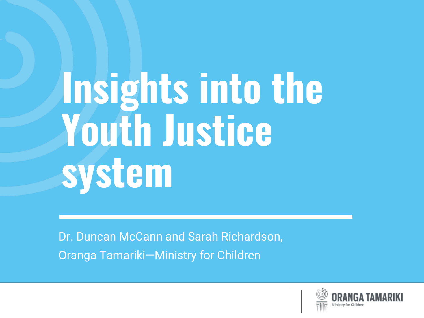# **Insights into the Youth Justice system**

Dr. Duncan McCann and Sarah Richardson, Oranga Tamariki—Ministry for Children

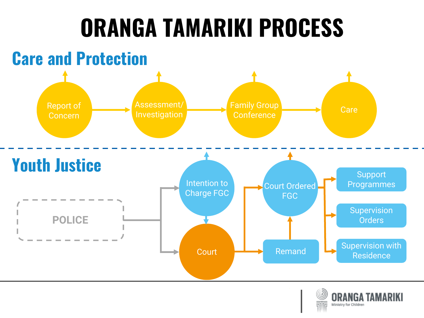## **ORANGA TAMARIKI PROCESS**

#### **Court** Support Programmes Supervision **Orders** Supervision with Residence Report of Concern Assessment/ Investigation Family Group Conference Conference **POLICE** Intention to Charge FGC **Care and Protection Youth Justice** Remand Court Ordered **FGC**

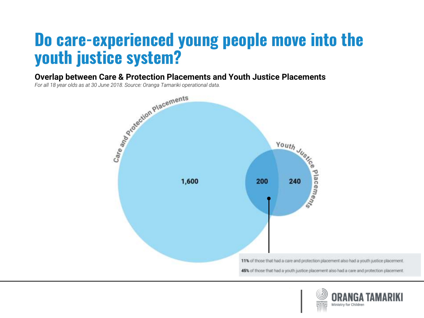## **Do care-experienced young people move into the youth justice system?**

*For all 18 year olds as at 30 June 2018. Source: Oranga Tamariki operational data.*



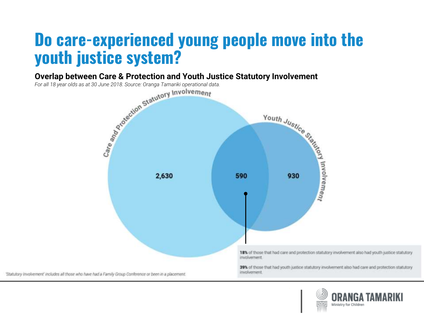## **Do care-experienced young people move into the**

**Overlap between Care & Protection and Youth Justice Statutory Involvement**



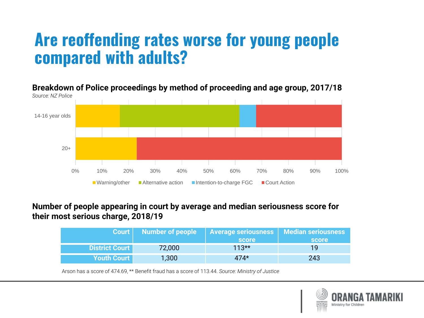## **Are reoffending rates worse for young people compared with adults?**

**Breakdown of Police proceedings by method of proceeding and age group, 2017/18** *Source: NZ Police*



#### **Number of people appearing in court by average and median seriousness score for their most serious charge, 2018/19**

|                       | Court   Number of people | Average seriousness   Median seriousness |       |
|-----------------------|--------------------------|------------------------------------------|-------|
|                       |                          | <b>score</b>                             | score |
| <b>District Court</b> | 72,000                   | $113**$                                  | 1 Q   |
| <b>Youth Court</b>    | 1,300                    | $474*$                                   | 243   |

•\*Arson has a score of 474.69, \*\* Benefit fraud has a score of 113.44. *Source: Ministry of Justice*

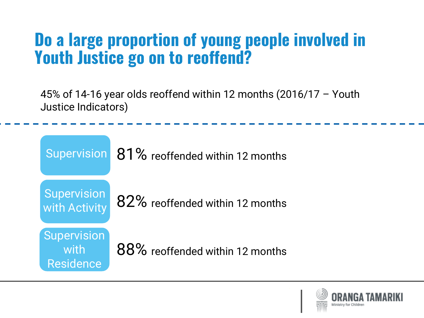## **Do a large proportion of young people involved in Youth Justice go on to reoffend?**

45% of 14-16 year olds reoffend within 12 months (2016/17 – Youth Justice Indicators)



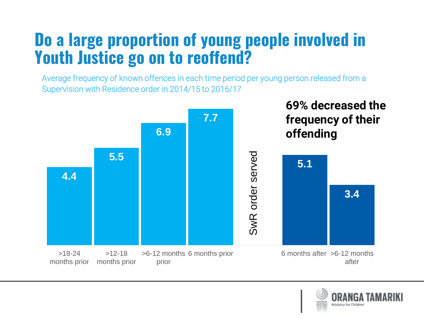## **Do a large proportion of young people involved in Youth Justice go on to reoffend?**

Average frequency of known offences in each time period per young person released from a Supervision with Residence order in 2014/15 to 2016/17



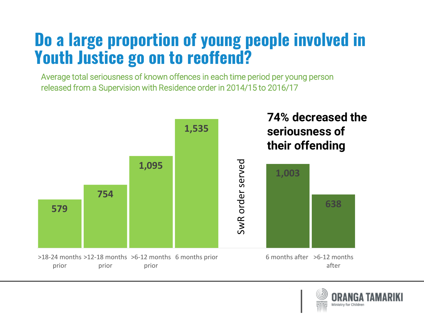## **Do a large proportion of young people involved in Youth Justice go on to reoffend?**

Average total seriousness of known offences in each time period per young person released from a Supervision with Residence order in 2014/15 to 2016/17



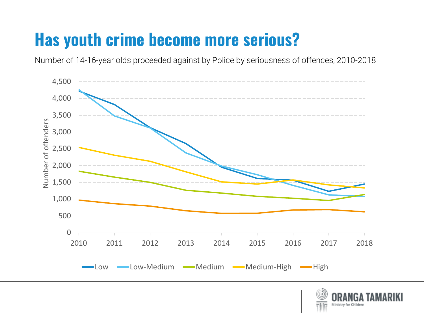## **Has youth crime become more serious?**

Number of 14-16-year olds proceeded against by Police by seriousness of offences, 2010-2018



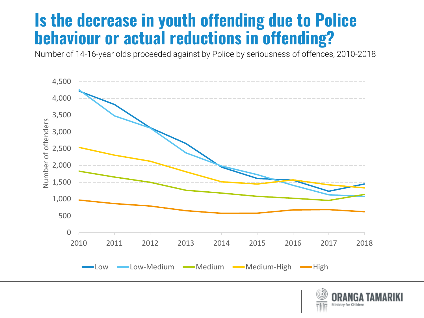## **Is the decrease in youth offending due to Police behaviour or actual reductions in offending?**

Number of 14-16-year olds proceeded against by Police by seriousness of offences, 2010-2018